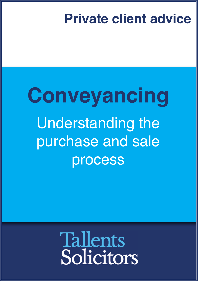## **Private client advice**

# **Conveyancing** Understanding the purchase and sale process

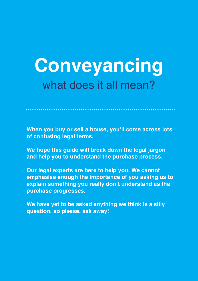## **Conveyancing** what does it all mean?

**When you buy or sell a house, you'll come across lots of confusing legal terms.**

**We hope this guide will break down the legal jargon and help you to understand the purchase process.**

**Our legal experts are here to help you. We cannot emphasise enough the importance of you asking us to explain something you really don't understand as the purchase progresses.**

**We have yet to be asked anything we think is a silly question, so please, ask away!**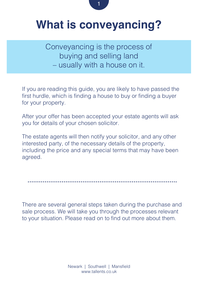

## **What is conveyancing?**

Conveyancing is the process of buying and selling land – usually with a house on it.

If you are reading this guide, you are likely to have passed the first hurdle, which is finding a house to buy or finding a buyer for your property.

After your offer has been accepted your estate agents will ask you for details of your chosen solicitor.

The estate agents will then notify your solicitor, and any other interested party, of the necessary details of the property, including the price and any special terms that may have been agreed.

There are several general steps taken during the purchase and sale process. We will take you through the processes relevant to your situation. Please read on to find out more about them.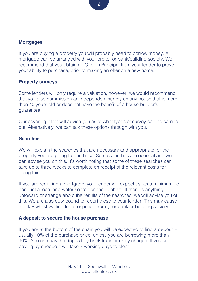#### **Mortgages**

If you are buying a property you will probably need to borrow money. A mortgage can be arranged with your broker or bank/building society. We recommend that you obtain an Offer in Principal from your lender to prove your ability to purchase, prior to making an offer on a new home.

#### **Property surveys**

Some lenders will only require a valuation, however, we would recommend that you also commission an independent survey on any house that is more than 10 years old or does not have the benefit of a house builder's guarantee.

Our covering letter will advise you as to what types of survey can be carried out. Alternatively, we can talk these options through with you.

#### **Searches**

We will explain the searches that are necessary and appropriate for the property you are going to purchase. Some searches are optional and we can advise you on this. It's worth noting that some of these searches can take up to three weeks to complete on receipt of the relevant costs for doing this.

If you are requiring a mortgage, your lender will expect us, as a minimum, to conduct a local and water search on their behalf. If there is anything untoward or strange about the results of the searches, we will advise you of this. We are also duty bound to report these to your lender. This may cause a delay whilst waiting for a response from your bank or building society.

#### **A deposit to secure the house purchase**

If you are at the bottom of the chain you will be expected to find a deposit – usually 10% of the purchase price, unless you are borrowing more than 90%. You can pay the deposit by bank transfer or by cheque. If you are paying by cheque it will take 7 working days to clear.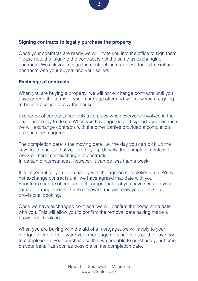#### **Signing contracts to legally purchase the property**

Once your contracts are ready we will invite you into the office to sign them. Please note that signing the contract is not the same as exchanging contracts. We ask you to sign the contracts in readiness for us to exchange contracts with your buyers and your sellers.

#### **Exchange of contracts**

When you are buying a property, we will not exchange contracts until you have agreed the terms of your mortgage offer and we know you are going to be in a position to buy the house.

Exchange of contracts can only take place when everyone involved in the chain are ready to do so. When you have agreed and signed your contracts we will exchange contracts with the other parties provided a completion date has been agreed.

The completion date is the moving date, i.e. the day you can pick up the keys for the house that you are buying. Usually, the completion date is a week or more after exchange of contracts. In certain circumstances, however, it can be less than a week.

It is important for you to be happy with the agreed completion date. We will not exchange contracts until we have agreed that date with you. Prior to exchange of contracts, it is important that you have secured your removal arrangements. Some removal firms will allow you to make a provisional booking.

Once we have exchanged contracts we will confirm the completion date with you. This will allow you to confirm the removal date having made a provisional booking.

When you are buying with the aid of a mortgage, we will apply to your mortgage lender to forward your mortgage advance to us on the day prior to completion of your purchase so that we are able to purchase your home on your behalf as soon as possible on the completion date.

3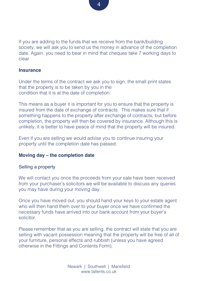If you are adding to the funds that we receive from the bank/building society, we will ask you to send us the money in advance of the completion date. Again, you need to bear in mind that cheques take 7 working days to clear.

#### **Insurance**

Under the terms of the contract we ask you to sign, the small print states that the property is to be taken by you in the condition that it is at the date of completion.

This means as a buyer it is important for you to ensure that the property is insured from the date of exchange of contracts. This makes sure that if something happens to the property after exchange of contracts, but before completion, the property will then be covered by insurance. Although this is unlikely, it is better to have peace of mind that the property will be insured.

Even if you are selling we would advise you to continue insuring your property until the completion date has passed.

#### **Moving day – the completion date**

#### Selling a property

We will contact you once the proceeds from your sale have been received from your purchaser's solicitors we will be available to discuss any queries you may have during your moving day.

Once you have moved out, you should hand your keys to your estate agent who will then hand them over to your buyer once we have confirmed the necessary funds have arrived into our bank account from your buyer's solicitor.

Please remember that as you are selling, the contract will state that you are selling with vacant possession meaning that the property will be free of all of your furniture, personal effects and rubbish (unless you have agreed otherwise in the Fittings and Contents Form).

4

Newark | Southwell | Mansfield www.tallents.co.uk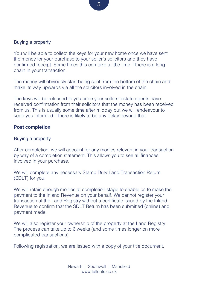#### Buying a property

You will be able to collect the keys for your new home once we have sent the money for your purchase to your seller's solicitors and they have confirmed receipt. Some times this can take a little time if there is a long chain in your transaction.

The money will obviously start being sent from the bottom of the chain and make its way upwards via all the solicitors involved in the chain.

The keys will be released to you once your sellers' estate agents have received confirmation from their solicitors that the money has been received from us. This is usually some time after midday but we will endeavour to keep you informed if there is likely to be any delay beyond that.

#### **Post completion**

#### Buying a property

After completion, we will account for any monies relevant in your transaction by way of a completion statement. This allows you to see all finances involved in your purchase.

We will complete any necessary Stamp Duty Land Transaction Return (SDLT) for you.

We will retain enough monies at completion stage to enable us to make the payment to the Inland Revenue on your behalf. We cannot register your transaction at the Land Registry without a certificate issued by the Inland Revenue to confirm that the SDLT Return has been submitted (online) and payment made.

We will also register your ownership of the property at the Land Registry. The process can take up to 6 weeks (and some times longer on more complicated transactions).

Following registration, we are issued with a copy of your title document.

Newark | Southwell | Mansfield www.tallents.co.uk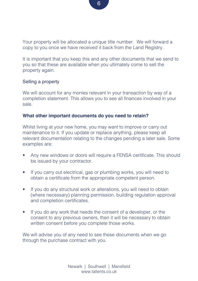Your property will be allocated a unique title number. We will forward a copy to you once we have received it back from the Land Registry.

It is important that you keep this and any other documents that we send to you so that these are available when you ultimately come to sell the property again.

#### Selling a property

We will account for any monies relevant in your transaction by way of a completion statement. This allows you to see all finances involved in your sale.

#### **What other important documents do you need to retain?**

Whilst living at your new home, you may want to improve or carry out maintenance to it. If you update or replace anything, please keep all relevant documentation relating to the changes pending a later sale. Some examples are:

- Any new windows or doors will require a FENSA certificate. This should be issued by your contractor.
- If you carry out electrical, gas or plumbing works, you will need to obtain a certificate from the appropriate competent person.
- If you do any structural work or alterations, you will need to obtain (where necessary) planning permission, building regulation approval and completion certificates.
- If you do any work that needs the consent of a developer, or the consent to any previous owners, then it will be necessary to obtain written consent before you complete those works.

We will advise you of any need to see these documents when we go through the purchase contract with you.

6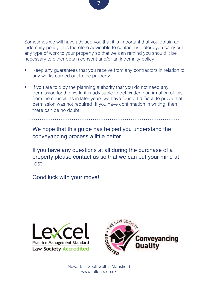Sometimes we will have advised you that it is important that you obtain an indemnity policy. It is therefore advisable to contact us before you carry out any type of work to your property so that we can remind you should it be necessary to either obtain consent and/or an indemnity policy.

- Keep any guarantees that you receive from any contractors in relation to any works carried out to the property.
- If you are told by the planning authority that you do not need any permission for the work, it is advisable to get written confirmation of this from the council, as in later years we have found it difficult to prove that permission was not required. If you have confirmation in writing, then there can be no doubt.

We hope that this quide has helped you understand the conveyancing process a little better.

If you have any questions at all during the purchase of a property please contact us so that we can put your mind at rest.

Good luck with your move!





Newark | Southwell | Mansfield www.tallents.co.uk

7